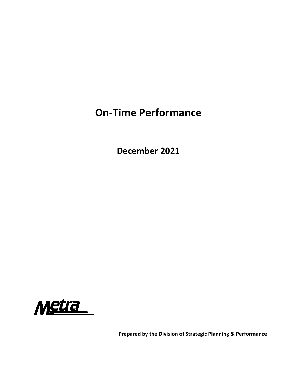## **On‐Time Performance**

**December 2021**



**Prepared by the Division of Strategic Planning & Performance**